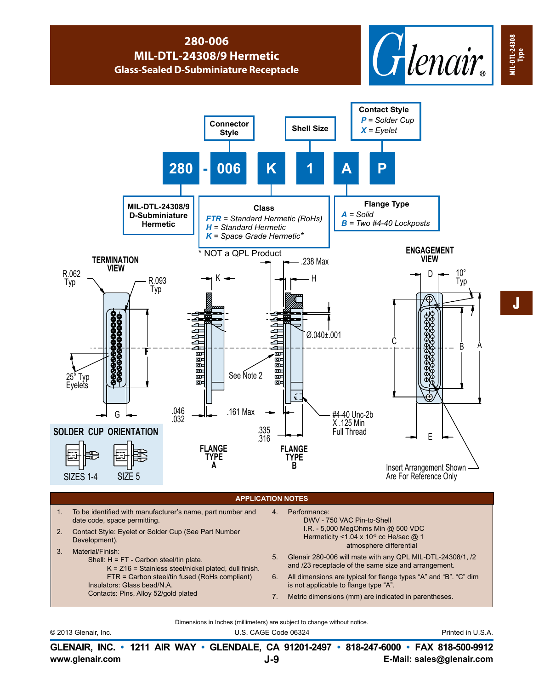## **280-006 MIL-DTL-24308/9 Hermetic Glass-Sealed D-Subminiature Receptacle**





Dimensions in Inches (millimeters) are subject to change without notice.

© 2013 Glenair, Inc. U.S. CAGE Code 06324 Printed in U.S.A.

**www.glenair.com E-Mail: sales@glenair.com GLENAIR, INC. • 1211 AIR WAY • GLENDALE, CA 91201-2497 • 818-247-6000 • FAX 818-500-9912 J-9**